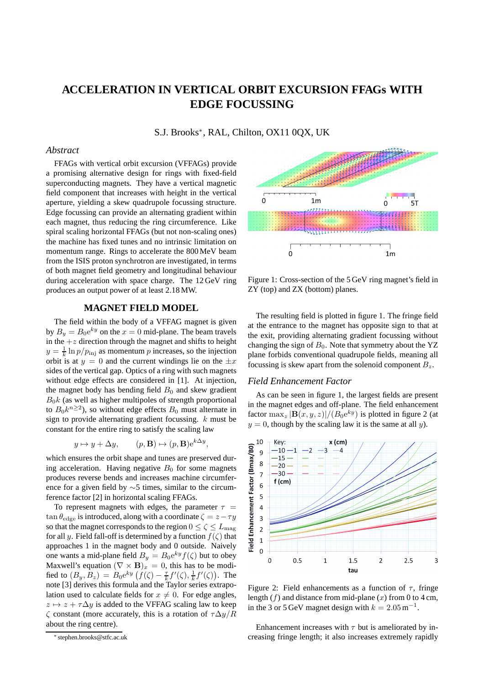# **ACCELERATION IN VERTICAL ORBIT EXCURSION FFAGs WITH EDGE FOCUSSING**

S.J. Brooks<sup>∗</sup> , RAL, Chilton, OX11 0QX, UK

#### *Abstract*

FFAGs with vertical orbit excursion (VFFAGs) provide a promising alternative design for rings with fixed-field superconducting magnets. They have a vertical magnetic field component that increases with height in the vertical aperture, yielding a skew quadrupole focussing structure. Edge focussing can provide an alternating gradient within each magnet, thus reducing the ring circumference. Like spiral scaling horizontal FFAGs (but not non-scaling ones) the machine has fixed tunes and no intrinsic limitation on momentum range. Rings to accelerate the 800 MeV beam from the ISIS proton synchrotron are investigated, in terms of both magnet field geometry and longitudinal behaviour during acceleration with space charge. The 12 GeV ring produces an output power of at least 2.18 MW.

## **MAGNET FIELD MODEL**

The field within the body of a VFFAG magnet is given by  $B_y = B_0 e^{ky}$  on the  $x = 0$  mid-plane. The beam travels in the  $+z$  direction through the magnet and shifts to height  $y = \frac{1}{k} \ln p / p_{\text{inj}}$  as momentum p increases, so the injection orbit is at  $y = 0$  and the current windings lie on the  $\pm x$ sides of the vertical gap. Optics of a ring with such magnets without edge effects are considered in [1]. At injection, the magnet body has bending field  $B_0$  and skew gradient  $B_0k$  (as well as higher multipoles of strength proportional to  $B_0 k^{n \geq 2}$ ), so without edge effects  $B_0$  must alternate in sign to provide alternating gradient focussing. k must be constant for the entire ring to satisfy the scaling law

$$
y \mapsto y + \Delta y,
$$
  $(p, \mathbf{B}) \mapsto (p, \mathbf{B})e^{k\Delta y},$ 

which ensures the orbit shape and tunes are preserved during acceleration. Having negative  $B_0$  for some magnets produces reverse bends and increases machine circumference for a given field by ∼5 times, similar to the circumference factor [2] in horizontal scaling FFAGs.

To represent magnets with edges, the parameter  $\tau$  =  $\tan \theta_{\text{edge}}$  is introduced, along with a coordinate  $\zeta = z - \tau y$ so that the magnet corresponds to the region  $0 \le \zeta \le L_{\text{mag}}$ for all y. Field fall-off is determined by a function  $f(\zeta)$  that approaches 1 in the magnet body and 0 outside. Naively one wants a mid-plane field  $B_y = B_0 e^{ky} f(\zeta)$  but to obey Maxwell's equation  $(\nabla \times \mathbf{B})_x = 0$ , this has to be modified to  $(B_y, B_z) = B_0 e^{ky} \left( f(\zeta) - \frac{\tau}{k} f'(\zeta), \frac{1}{k} f'(\zeta) \right)$ . The note [3] derives this formula and the Taylor series extrapolation used to calculate fields for  $x \neq 0$ . For edge angles,  $z \mapsto z + \tau \Delta y$  is added to the VFFAG scaling law to keep ζ constant (more accurately, this is a rotation of τ∆y/R about the ring centre).



Figure 1: Cross-section of the 5 GeV ring magnet's field in ZY (top) and ZX (bottom) planes.

The resulting field is plotted in figure 1. The fringe field at the entrance to the magnet has opposite sign to that at the exit, providing alternating gradient focussing without changing the sign of  $B_0$ . Note that symmetry about the YZ plane forbids conventional quadrupole fields, meaning all focussing is skew apart from the solenoid component  $B_z$ .

## *Field Enhancement Factor*

As can be seen in figure 1, the largest fields are present in the magnet edges and off-plane. The field enhancement factor  $\max_{z} |\mathbf{B}(x, y, z)|/(B_0 e^{ky})$  is plotted in figure 2 (at  $y = 0$ , though by the scaling law it is the same at all y).



Figure 2: Field enhancements as a function of  $\tau$ , fringe length  $(f)$  and distance from mid-plane  $(x)$  from 0 to 4 cm, in the 3 or 5 GeV magnet design with  $k = 2.05 \,\mathrm{m}^{-1}$ .

Enhancement increases with  $\tau$  but is ameliorated by increasing fringe length; it also increases extremely rapidly

<sup>∗</sup> stephen.brooks@stfc.ac.uk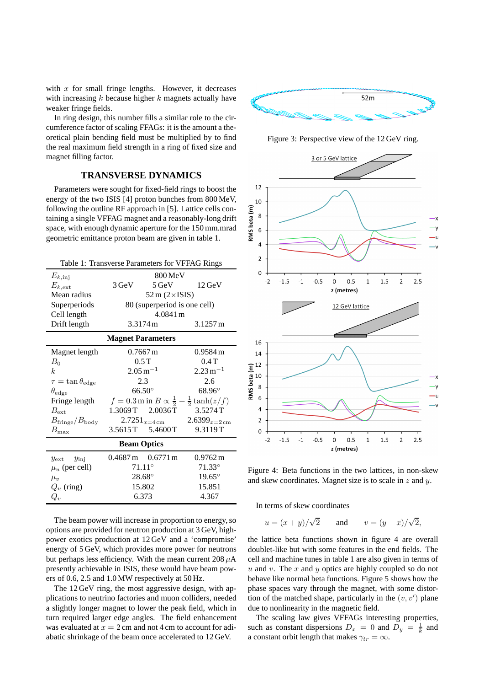with  $x$  for small fringe lengths. However, it decreases with increasing  $k$  because higher  $k$  magnets actually have weaker fringe fields.

In ring design, this number fills a similar role to the circumference factor of scaling FFAGs: it is the amount a theoretical plain bending field must be multiplied by to find the real maximum field strength in a ring of fixed size and magnet filling factor.

# **TRANSVERSE DYNAMICS**

Parameters were sought for fixed-field rings to boost the energy of the two ISIS [4] proton bunches from 800 MeV, following the outline RF approach in [5]. Lattice cells containing a single VFFAG magnet and a reasonably-long drift space, with enough dynamic aperture for the 150 mm.mrad geometric emittance proton beam are given in table 1.

| Table 1: Transverse Parameters for VFFAG Rings |                                                        |                                             |                                                                 |  |  |
|------------------------------------------------|--------------------------------------------------------|---------------------------------------------|-----------------------------------------------------------------|--|--|
| $E_{k,\text{inj}}$                             | 800 MeV                                                |                                             |                                                                 |  |  |
| $E_{k,\rm ext}$                                | 3 GeV                                                  | $5 \,\mathrm{GeV}$                          | $12 \,\mathrm{GeV}$                                             |  |  |
| Mean radius                                    | $52 \text{ m} (2 \times$ ISIS)                         |                                             |                                                                 |  |  |
| Superperiods                                   | 80 (superperiod is one cell)                           |                                             |                                                                 |  |  |
| Cell length                                    | 4.0841 m                                               |                                             |                                                                 |  |  |
| Drift length                                   | 3.3174 m                                               |                                             | $3.1257 \,\mathrm{m}$                                           |  |  |
| <b>Magnet Parameters</b>                       |                                                        |                                             |                                                                 |  |  |
| Magnet length                                  | $0.7667 \,\mathrm{m}$                                  |                                             | $0.9584 \,\mathrm{m}$                                           |  |  |
| $B_0$                                          | 0.5T                                                   |                                             | 0.4T                                                            |  |  |
| k <sub>i</sub>                                 | $2.05\,\mathrm{m}^{-1}$                                |                                             | $2.23 \,\mathrm{m}^{-1}$                                        |  |  |
| $\tau = \tan \theta_{\text{edge}}$             | 2.3                                                    |                                             | 2.6                                                             |  |  |
| $\theta_{\rm edge}$                            | $66.50^\circ$                                          |                                             | $68.96^\circ$                                                   |  |  |
| Fringe length                                  |                                                        |                                             | $f = 0.3$ m in $B \propto \frac{1}{2} + \frac{1}{2} \tanh(z/f)$ |  |  |
| $B_{\rm ext}$                                  |                                                        | 1.3069T 2.0036T                             | 3.5274T                                                         |  |  |
| $B_{\rm fringe}/B_{\rm body}$                  | $2.7251_{x=4 \text{ cm}}$<br>$2.6399_{x=2 \text{ cm}}$ |                                             |                                                                 |  |  |
| $B_{\rm max}$                                  |                                                        | 3.5615T 5.4600T                             | 9.3119T                                                         |  |  |
| <b>Beam Optics</b>                             |                                                        |                                             |                                                                 |  |  |
| $y_{\text{ext}} - y_{\text{inj}}$              |                                                        | $0.4687 \,\mathrm{m}$ $0.6771 \,\mathrm{m}$ | $0.9762 \,\mathrm{m}$                                           |  |  |
| $\mu_u$ (per cell)                             | $71.11^{\circ}$                                        |                                             | $71.33^{\circ}$                                                 |  |  |
| $\mu_v$                                        | $28.68^\circ$                                          |                                             | $19.65^\circ$                                                   |  |  |
| $Q_u$ (ring)                                   | 15.802                                                 |                                             | 15.851                                                          |  |  |
| $Q_v$                                          | 6.373                                                  |                                             | 4.367                                                           |  |  |

The beam power will increase in proportion to energy, so options are provided for neutron production at 3 GeV, highpower exotics production at 12 GeV and a 'compromise' energy of 5 GeV, which provides more power for neutrons but perhaps less efficiency. With the mean current  $208 \mu A$ presently achievable in ISIS, these would have beam powers of 0.6, 2.5 and 1.0 MW respectively at 50 Hz.

The 12 GeV ring, the most aggressive design, with applications to neutrino factories and muon colliders, needed a slightly longer magnet to lower the peak field, which in turn required larger edge angles. The field enhancement was evaluated at  $x = 2$  cm and not 4 cm to account for adiabatic shrinkage of the beam once accelerated to 12 GeV.



Figure 3: Perspective view of the 12 GeV ring.



Figure 4: Beta functions in the two lattices, in non-skew and skew coordinates. Magnet size is to scale in  $z$  and  $y$ .

In terms of skew coordinates

$$
u = (x + y)/\sqrt{2}
$$
 and  $v = (y - x)/\sqrt{2}$ ,

the lattice beta functions shown in figure 4 are overall doublet-like but with some features in the end fields. The cell and machine tunes in table 1 are also given in terms of u and v. The x and y optics are highly coupled so do not behave like normal beta functions. Figure 5 shows how the phase spaces vary through the magnet, with some distortion of the matched shape, particularly in the  $(v, v')$  plane due to nonlinearity in the magnetic field.

The scaling law gives VFFAGs interesting properties, such as constant dispersions  $D_x = 0$  and  $D_y = \frac{1}{k}$  and a constant orbit length that makes  $\gamma_{tr} = \infty$ .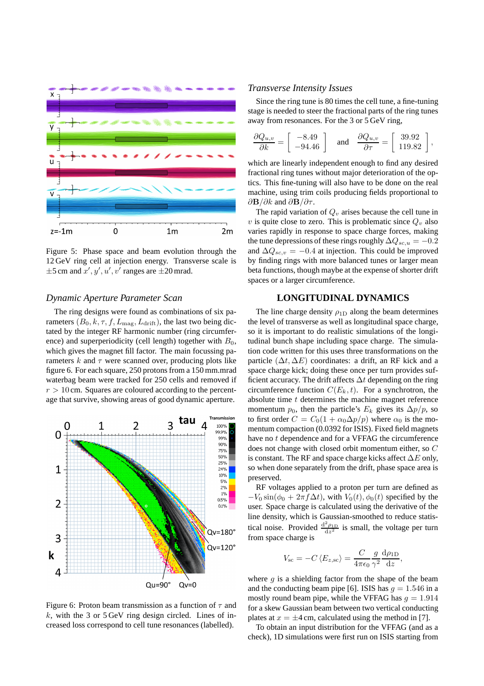

Figure 5: Phase space and beam evolution through the 12 GeV ring cell at injection energy. Transverse scale is  $\pm 5$  cm and  $x', y', u', v'$  ranges are  $\pm 20$  mrad.

## *Dynamic Aperture Parameter Scan*

The ring designs were found as combinations of six parameters  $(B_0, k, \tau, f, L_{\text{mag}}, L_{\text{drift}})$ , the last two being dictated by the integer RF harmonic number (ring circumference) and superperiodicity (cell length) together with  $B_0$ , which gives the magnet fill factor. The main focussing parameters  $k$  and  $\tau$  were scanned over, producing plots like figure 6. For each square, 250 protons from a 150 mm.mrad waterbag beam were tracked for 250 cells and removed if  $r > 10$  cm. Squares are coloured according to the percentage that survive, showing areas of good dynamic aperture.



Figure 6: Proton beam transmission as a function of  $\tau$  and  $k$ , with the 3 or 5 GeV ring design circled. Lines of increased loss correspond to cell tune resonances (labelled).

#### *Transverse Intensity Issues*

Since the ring tune is 80 times the cell tune, a fine-tuning stage is needed to steer the fractional parts of the ring tunes away from resonances. For the 3 or 5 GeV ring,

$$
\frac{\partial Q_{u,v}}{\partial k} = \left[\begin{array}{c} -8.49 \\ -94.46 \end{array}\right] \quad \text{and} \quad \frac{\partial Q_{u,v}}{\partial \tau} = \left[\begin{array}{c} 39.92 \\ 119.82 \end{array}\right],
$$

which are linearly independent enough to find any desired fractional ring tunes without major deterioration of the optics. This fine-tuning will also have to be done on the real machine, using trim coils producing fields proportional to  $\partial$ **B**/ $\partial k$  and  $\partial$ **B**/ $\partial \tau$ .

The rapid variation of  $Q<sub>v</sub>$  arises because the cell tune in v is quite close to zero. This is problematic since  $Q_v$  also varies rapidly in response to space charge forces, making the tune depressions of these rings roughly  $\Delta Q_{sc, u} = -0.2$ and  $\Delta Q_{sc,v} = -0.4$  at injection. This could be improved by finding rings with more balanced tunes or larger mean beta functions, though maybe at the expense of shorter drift spaces or a larger circumference.

## **LONGITUDINAL DYNAMICS**

The line charge density  $\rho_{1D}$  along the beam determines the level of transverse as well as longitudinal space charge, so it is important to do realistic simulations of the longitudinal bunch shape including space charge. The simulation code written for this uses three transformations on the particle  $(\Delta t, \Delta E)$  coordinates: a drift, an RF kick and a space charge kick; doing these once per turn provides sufficient accuracy. The drift affects  $\Delta t$  depending on the ring circumference function  $C(E_k, t)$ . For a synchrotron, the absolute time  $t$  determines the machine magnet reference momentum  $p_0$ , then the particle's  $E_k$  gives its  $\Delta p/p$ , so to first order  $C = C_0(1 + \alpha_0 \Delta p/p)$  where  $\alpha_0$  is the momentum compaction (0.0392 for ISIS). Fixed field magnets have no t dependence and for a VFFAG the circumference does not change with closed orbit momentum either, so C is constant. The RF and space charge kicks affect  $\Delta E$  only, so when done separately from the drift, phase space area is preserved.

RF voltages applied to a proton per turn are defined as  $-V_0 \sin(\phi_0 + 2\pi f \Delta t)$ , with  $V_0(t)$ ,  $\phi_0(t)$  specified by the user. Space charge is calculated using the derivative of the line density, which is Gaussian-smoothed to reduce statistical noise. Provided  $\frac{d^2 \rho_{1D}}{dx^2}$  $\frac{\epsilon_{\rho_{1D}}}{dz^2}$  is small, the voltage per turn from space charge is

$$
V_{\rm sc} = -C \left\langle E_{z, \rm sc} \right\rangle = \frac{C}{4\pi\epsilon_0} \frac{g}{\gamma^2} \frac{\mathrm{d}\rho_{\rm 1D}}{\mathrm{d}z},
$$

where  $q$  is a shielding factor from the shape of the beam and the conducting beam pipe [6]. ISIS has  $q = 1.546$  in a mostly round beam pipe, while the VFFAG has  $q = 1.914$ for a skew Gaussian beam between two vertical conducting plates at  $x = \pm 4$  cm, calculated using the method in [7].

To obtain an input distribution for the VFFAG (and as a check), 1D simulations were first run on ISIS starting from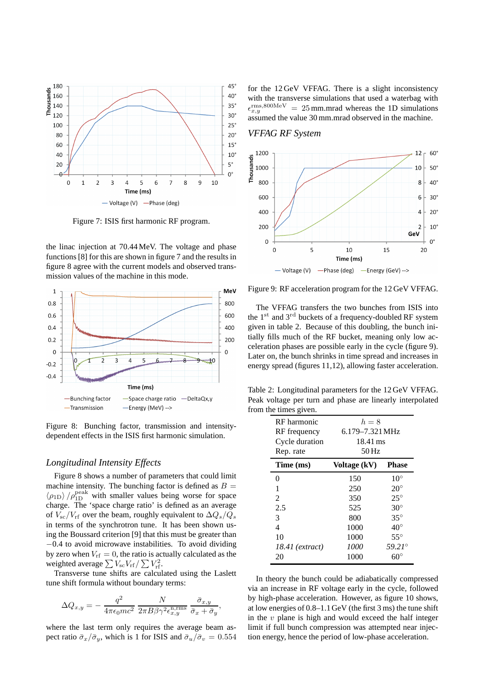

Figure 7: ISIS first harmonic RF program.

the linac injection at 70.44 MeV. The voltage and phase functions [8] for this are shown in figure 7 and the results in figure 8 agree with the current models and observed transmission values of the machine in this mode.



Figure 8: Bunching factor, transmission and intensitydependent effects in the ISIS first harmonic simulation.

#### *Longitudinal Intensity Effects*

Figure 8 shows a number of parameters that could limit machine intensity. The bunching factor is defined as  $B =$  $\langle \rho_{1D} \rangle / \rho_{1D}^{\rm peak}$  with smaller values being worse for space charge. The 'space charge ratio' is defined as an average of  $V_{\rm sc}/V_{\rm rf}$  over the beam, roughly equivalent to  $\Delta Q_s/Q_s$ in terms of the synchrotron tune. It has been shown using the Boussard criterion [9] that this must be greater than −0.4 to avoid microwave instabilities. To avoid dividing by zero when  $V_{\text{rf}} = 0$ , the ratio is actually calculated as the weighted average  $\sum V_{\rm sc} V_{\rm rf} / \sum V_{\rm rf}^2$ .

Transverse tune shifts are calculated using the Laslett tune shift formula without boundary terms:

$$
\Delta Q_{x,y} = -\frac{q^2}{4\pi\epsilon_0mc^2} \frac{N}{2\pi B\beta\gamma^2\epsilon_{x,y}^{\rm n,rms}} \frac{\bar{\sigma}_{x,y}}{\bar{\sigma}_x + \bar{\sigma}_y},
$$

where the last term only requires the average beam aspect ratio  $\bar{\sigma}_x/\bar{\sigma}_y$ , which is 1 for ISIS and  $\bar{\sigma}_u/\bar{\sigma}_v = 0.554$  for the 12 GeV VFFAG. There is a slight inconsistency with the transverse simulations that used a waterbag with  $\epsilon_{x,y}^{\rm rms,800MeV} = 25$  mm.mrad whereas the 1D simulations assumed the value 30 mm.mrad observed in the machine.

#### *VFFAG RF System*



Figure 9: RF acceleration program for the 12 GeV VFFAG.

The VFFAG transfers the two bunches from ISIS into the  $1<sup>st</sup>$  and  $3<sup>rd</sup>$  buckets of a frequency-doubled RF system given in table 2. Because of this doubling, the bunch initially fills much of the RF bucket, meaning only low acceleration phases are possible early in the cycle (figure 9). Later on, the bunch shrinks in time spread and increases in energy spread (figures 11,12), allowing faster acceleration.

Table 2: Longitudinal parameters for the 12 GeV VFFAG. Peak voltage per turn and phase are linearly interpolated from the times given.

| RF harmonic     | $h=8$           |                 |  |  |
|-----------------|-----------------|-----------------|--|--|
| RF frequency    | 6.179-7.321 MHz |                 |  |  |
| Cycle duration  | 18.41 ms        |                 |  |  |
| Rep. rate       | $50$ Hz         |                 |  |  |
| Time (ms)       | Voltage (kV)    | <b>Phase</b>    |  |  |
| 0               | 150             | $10^{\circ}$    |  |  |
| 1               | 250             | $20^{\circ}$    |  |  |
| 2               | 350             | $25^\circ$      |  |  |
| 2.5             | 525             | $30^{\circ}$    |  |  |
| 3               | 800             | $35^{\circ}$    |  |  |
| 4               | 1000            | $40^{\circ}$    |  |  |
| 10              | 1000            | $55^{\circ}$    |  |  |
| 18.41 (extract) | 1000            | $59.21^{\circ}$ |  |  |
| 20              | 1000            |                 |  |  |

In theory the bunch could be adiabatically compressed via an increase in RF voltage early in the cycle, followed by high-phase acceleration. However, as figure 10 shows, at low energies of 0.8–1.1 GeV (the first 3 ms) the tune shift in the  $v$  plane is high and would exceed the half integer limit if full bunch compression was attempted near injection energy, hence the period of low-phase acceleration.